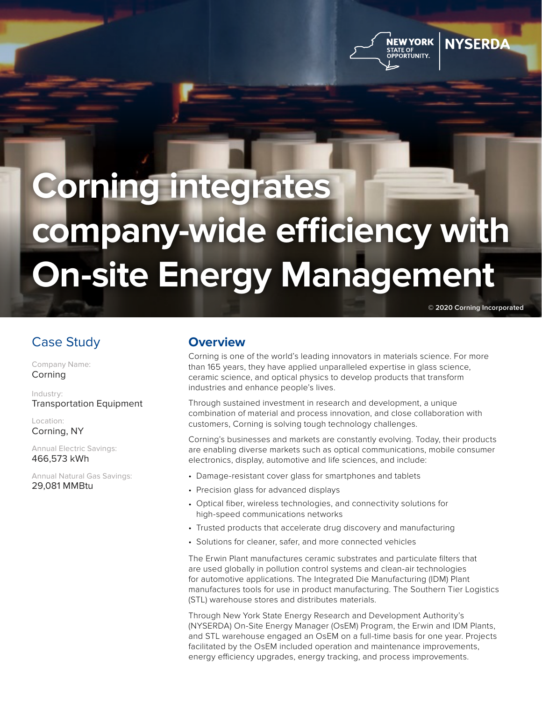



# **Corning integrates company-wide efficiency with On-site Energy Management**

**© 2020 Corning Incorporated**

## Case Study

Company Name: Corning

Industry: Transportation Equipment

Location: Corning, NY

Annual Electric Savings: 466,573 kWh

Annual Natural Gas Savings: 29,081 MMBtu

#### **Overview**

Corning is one of the world's leading innovators in materials science. For more than 165 years, they have applied unparalleled expertise in glass science, ceramic science, and optical physics to develop products that transform industries and enhance people's lives.

Through sustained investment in research and development, a unique combination of material and process innovation, and close collaboration with customers, Corning is solving tough technology challenges.

Corning's businesses and markets are constantly evolving. Today, their products are enabling diverse markets such as optical communications, mobile consumer electronics, display, automotive and life sciences, and include:

- Damage-resistant cover glass for smartphones and tablets
- Precision glass for advanced displays
- Optical fiber, wireless technologies, and connectivity solutions for high-speed communications networks
- Trusted products that accelerate drug discovery and manufacturing
- Solutions for cleaner, safer, and more connected vehicles

The Erwin Plant manufactures ceramic substrates and particulate filters that are used globally in pollution control systems and clean-air technologies for automotive applications. The Integrated Die Manufacturing (IDM) Plant manufactures tools for use in product manufacturing. The Southern Tier Logistics (STL) warehouse stores and distributes materials.

Through New York State Energy Research and Development Authority's (NYSERDA) On-Site Energy Manager (OsEM) Program, the Erwin and IDM Plants, and STL warehouse engaged an OsEM on a full-time basis for one year. Projects facilitated by the OsEM included operation and maintenance improvements, energy efficiency upgrades, energy tracking, and process improvements.